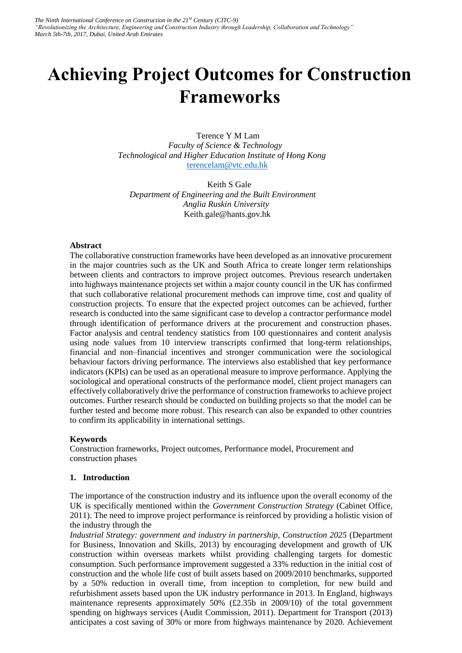# **Achieving Project Outcomes for Construction Frameworks**

Terence Y M Lam *Faculty of Science & Technology Technological and Higher Education Institute of Hong Kong*  [terencelam@vtc.edu.hk](mailto:terencelam@vtc.edu.hk)

Keith S Gale *Department of Engineering and the Built Environment Anglia Ruskin University*  Keith.gale@hants.gov.hk

#### **Abstract**

The collaborative construction frameworks have been developed as an innovative procurement in the major countries such as the UK and South Africa to create longer term relationships between clients and contractors to improve project outcomes. Previous research undertaken into highways maintenance projects set within a major county council in the UK has confirmed that such collaborative relational procurement methods can improve time, cost and quality of construction projects. To ensure that the expected project outcomes can be achieved, further research is conducted into the same significant case to develop a contractor performance model through identification of performance drivers at the procurement and construction phases. Factor analysis and central tendency statistics from 100 questionnaires and content analysis using node values from 10 interview transcripts confirmed that long-term relationships, financial and non–financial incentives and stronger communication were the sociological behaviour factors driving performance. The interviews also established that key performance indicators (KPIs) can be used as an operational measure to improve performance. Applying the sociological and operational constructs of the performance model, client project managers can effectively collaboratively drive the performance of construction frameworks to achieve project outcomes. Further research should be conducted on building projects so that the model can be further tested and become more robust. This research can also be expanded to other countries to confirm its applicability in international settings.

#### **Keywords**

Construction frameworks, Project outcomes, Performance model, Procurement and construction phases

#### **1. Introduction**

The importance of the construction industry and its influence upon the overall economy of the UK is specifically mentioned within the *Government Construction Strategy* (Cabinet Office, 2011). The need to improve project performance is reinforced by providing a holistic vision of the industry through the

*Industrial Strategy: government and industry in partnership, Construction 2025* (Department for Business, Innovation and Skills, 2013) by encouraging development and growth of UK construction within overseas markets whilst providing challenging targets for domestic consumption. Such performance improvement suggested a 33% reduction in the initial cost of construction and the whole life cost of built assets based on 2009/2010 benchmarks, supported by a 50% reduction in overall time, from inception to completion, for new build and refurbishment assets based upon the UK industry performance in 2013. In England, highways maintenance represents approximately  $50\%$  (£2.35b in 2009/10) of the total government spending on highways services (Audit Commission, 2011). Department for Transport (2013) anticipates a cost saving of 30% or more from highways maintenance by 2020. Achievement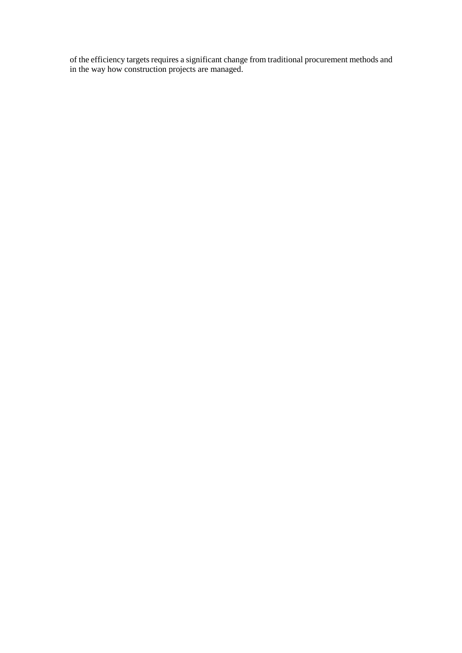of the efficiency targets requires a significant change from traditional procurement methods and in the way how construction projects are managed.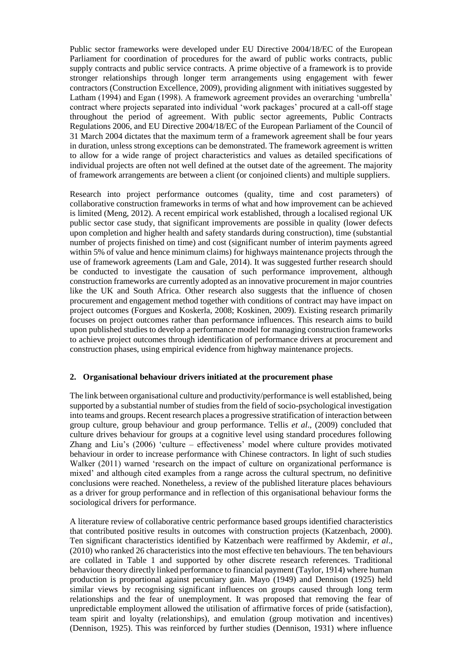Public sector frameworks were developed under EU Directive 2004/18/EC of the European Parliament for coordination of procedures for the award of public works contracts, public supply contracts and public service contracts. A prime objective of a framework is to provide stronger relationships through longer term arrangements using engagement with fewer contractors (Construction Excellence, 2009), providing alignment with initiatives suggested by Latham (1994) and Egan (1998). A framework agreement provides an overarching 'umbrella' contract where projects separated into individual 'work packages' procured at a call-off stage throughout the period of agreement. With public sector agreements, Public Contracts Regulations 2006, and EU Directive 2004/18/EC of the European Parliament of the Council of 31 March 2004 dictates that the maximum term of a framework agreement shall be four years in duration, unless strong exceptions can be demonstrated. The framework agreement is written to allow for a wide range of project characteristics and values as detailed specifications of individual projects are often not well defined at the outset date of the agreement. The majority of framework arrangements are between a client (or conjoined clients) and multiple suppliers.

Research into project performance outcomes (quality, time and cost parameters) of collaborative construction frameworks in terms of what and how improvement can be achieved is limited (Meng, 2012). A recent empirical work established, through a localised regional UK public sector case study, that significant improvements are possible in quality (lower defects upon completion and higher health and safety standards during construction), time (substantial number of projects finished on time) and cost (significant number of interim payments agreed within 5% of value and hence minimum claims) for highways maintenance projects through the use of framework agreements (Lam and Gale, 2014). It was suggested further research should be conducted to investigate the causation of such performance improvement, although construction frameworks are currently adopted as an innovative procurement in major countries like the UK and South Africa. Other research also suggests that the influence of chosen procurement and engagement method together with conditions of contract may have impact on project outcomes (Forgues and Koskerla, 2008; Koskinen, 2009). Existing research primarily focuses on project outcomes rather than performance influences. This research aims to build upon published studies to develop a performance model for managing construction frameworks to achieve project outcomes through identification of performance drivers at procurement and construction phases, using empirical evidence from highway maintenance projects.

#### **2. Organisational behaviour drivers initiated at the procurement phase**

The link between organisational culture and productivity/performance is well established, being supported by a substantial number of studies from the field of socio-psychological investigation into teams and groups. Recent research places a progressive stratification of interaction between group culture, group behaviour and group performance. Tellis *et al*., (2009) concluded that culture drives behaviour for groups at a cognitive level using standard procedures following Zhang and Liu's (2006) 'culture – effectiveness' model where culture provides motivated behaviour in order to increase performance with Chinese contractors. In light of such studies Walker (2011) warned 'research on the impact of culture on organizational performance is mixed' and although cited examples from a range across the cultural spectrum, no definitive conclusions were reached. Nonetheless, a review of the published literature places behaviours as a driver for group performance and in reflection of this organisational behaviour forms the sociological drivers for performance.

A literature review of collaborative centric performance based groups identified characteristics that contributed positive results in outcomes with construction projects (Katzenbach, 2000). Ten significant characteristics identified by Katzenbach were reaffirmed by Akdemir, *et al*., (2010) who ranked 26 characteristics into the most effective ten behaviours. The ten behaviours are collated in Table 1 and supported by other discrete research references. Traditional behaviour theory directly linked performance to financial payment (Taylor, 1914) where human production is proportional against pecuniary gain. Mayo (1949) and Dennison (1925) held similar views by recognising significant influences on groups caused through long term relationships and the fear of unemployment. It was proposed that removing the fear of unpredictable employment allowed the utilisation of affirmative forces of pride (satisfaction), team spirit and loyalty (relationships), and emulation (group motivation and incentives) (Dennison, 1925). This was reinforced by further studies (Dennison, 1931) where influence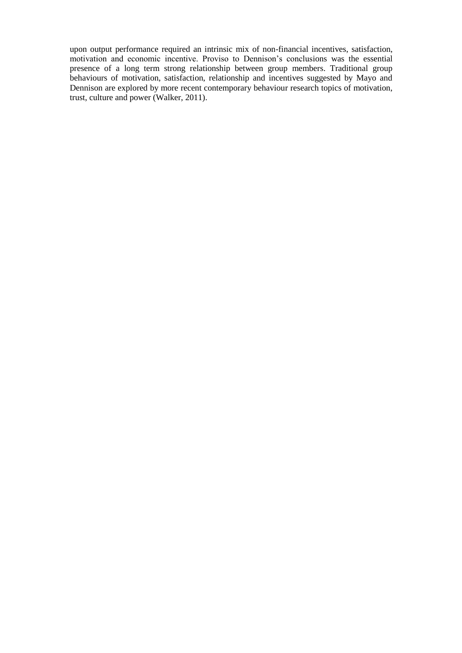upon output performance required an intrinsic mix of non-financial incentives, satisfaction, motivation and economic incentive. Proviso to Dennison's conclusions was the essential presence of a long term strong relationship between group members. Traditional group behaviours of motivation, satisfaction, relationship and incentives suggested by Mayo and Dennison are explored by more recent contemporary behaviour research topics of motivation, trust, culture and power (Walker, 2011).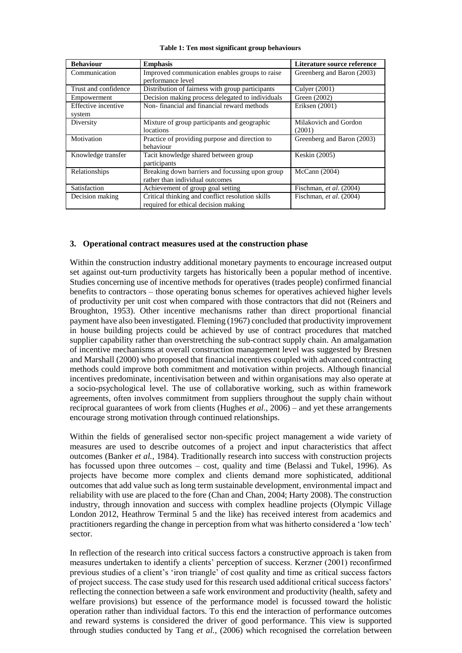| <b>Behaviour</b>              | <b>Emphasis</b>                                                                          | Literature source reference     |  |
|-------------------------------|------------------------------------------------------------------------------------------|---------------------------------|--|
| Communication                 | Improved communication enables groups to raise<br>performance level                      | Greenberg and Baron (2003)      |  |
| Trust and confidence          | Distribution of fairness with group participants                                         | Culver (2001)                   |  |
| Empowerment                   | Decision making process delegated to individuals                                         | Green (2002)                    |  |
| Effective incentive<br>system | Non-financial and financial reward methods                                               | Eriksen (2001)                  |  |
| Diversity                     | Mixture of group participants and geographic<br>locations                                | Milakovich and Gordon<br>(2001) |  |
| Motivation                    | Practice of providing purpose and direction to<br>behaviour                              | Greenberg and Baron (2003)      |  |
| Knowledge transfer            | Tacit knowledge shared between group<br>participants                                     | Keskin (2005)                   |  |
| Relationships                 | Breaking down barriers and focussing upon group<br>rather than individual outcomes       | McCann (2004)                   |  |
| Satisfaction                  | Achievement of group goal setting                                                        | Fischman, et al. (2004)         |  |
| Decision making               | Critical thinking and conflict resolution skills<br>required for ethical decision making | Fischman, et al. (2004)         |  |

**Table 1: Ten most significant group behaviours**

#### **3. Operational contract measures used at the construction phase**

Within the construction industry additional monetary payments to encourage increased output set against out-turn productivity targets has historically been a popular method of incentive. Studies concerning use of incentive methods for operatives (trades people) confirmed financial benefits to contractors – those operating bonus schemes for operatives achieved higher levels of productivity per unit cost when compared with those contractors that did not (Reiners and Broughton, 1953). Other incentive mechanisms rather than direct proportional financial payment have also been investigated. Fleming (1967) concluded that productivity improvement in house building projects could be achieved by use of contract procedures that matched supplier capability rather than overstretching the sub-contract supply chain. An amalgamation of incentive mechanisms at overall construction management level was suggested by Bresnen and Marshall (2000) who proposed that financial incentives coupled with advanced contracting methods could improve both commitment and motivation within projects. Although financial incentives predominate, incentivisation between and within organisations may also operate at a socio-psychological level. The use of collaborative working, such as within framework agreements, often involves commitment from suppliers throughout the supply chain without reciprocal guarantees of work from clients (Hughes *et al.,* 2006) – and yet these arrangements encourage strong motivation through continued relationships.

Within the fields of generalised sector non-specific project management a wide variety of measures are used to describe outcomes of a project and input characteristics that affect outcomes (Banker *et al.*, 1984). Traditionally research into success with construction projects has focussed upon three outcomes – cost, quality and time (Belassi and Tukel, 1996). As projects have become more complex and clients demand more sophisticated, additional outcomes that add value such as long term sustainable development, environmental impact and reliability with use are placed to the fore (Chan and Chan, 2004; Harty 2008). The construction industry, through innovation and success with complex headline projects (Olympic Village London 2012, Heathrow Terminal 5 and the like) has received interest from academics and practitioners regarding the change in perception from what was hitherto considered a 'low tech' sector.

In reflection of the research into critical success factors a constructive approach is taken from measures undertaken to identify a clients' perception of success. Kerzner (2001) reconfirmed previous studies of a client's 'iron triangle' of cost quality and time as critical success factors of project success. The case study used for this research used additional critical success factors' reflecting the connection between a safe work environment and productivity (health, safety and welfare provisions) but essence of the performance model is focussed toward the holistic operation rather than individual factors. To this end the interaction of performance outcomes and reward systems is considered the driver of good performance. This view is supported through studies conducted by Tang *et al.,* (2006) which recognised the correlation between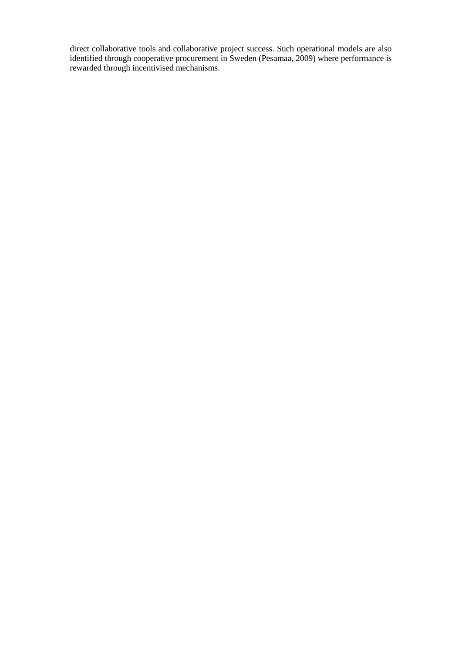direct collaborative tools and collaborative project success. Such operational models are also identified through cooperative procurement in Sweden (Pesamaa, 2009) where performance is rewarded through incentivised mechanisms.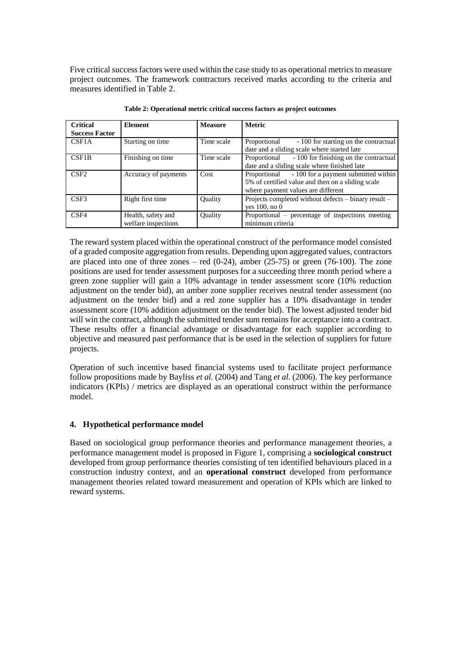Five critical success factors were used within the case study to as operational metrics to measure project outcomes. The framework contractors received marks according to the criteria and measures identified in Table 2.

| <b>Critical</b>       | <b>Element</b>                            | <b>Measure</b> | <b>Metric</b>                                                                                                                                   |
|-----------------------|-------------------------------------------|----------------|-------------------------------------------------------------------------------------------------------------------------------------------------|
| <b>Success Factor</b> |                                           |                |                                                                                                                                                 |
| CSF <sub>1</sub> A    | Starting on time                          | Time scale     | Proportional<br>- 100 for starting on the contractual<br>date and a sliding scale where started late                                            |
| CSF <sub>1</sub> B    | Finishing on time                         | Time scale     | - 100 for finishing on the contractual<br>Proportional<br>date and a sliding scale where finished late                                          |
| C <sub>SF2</sub>      | Accuracy of payments                      | Cost           | - 100 for a payment submitted within<br>Proportional<br>5% of certified value and then on a sliding scale<br>where payment values are different |
| C <sub>SE3</sub>      | Right first time                          | <b>Ouality</b> | Projects completed without defects – binary result –<br>yes $100$ , no $0$                                                                      |
| CSF4                  | Health, safety and<br>welfare inspections | Quality        | Proportional – percentage of inspections meeting<br>minimum criteria                                                                            |

**Table 2: Operational metric critical success factors as project outcomes**

The reward system placed within the operational construct of the performance model consisted of a graded composite aggregation from results. Depending upon aggregated values, contractors are placed into one of three zones – red  $(0-24)$ , amber  $(25-75)$  or green  $(76-100)$ . The zone positions are used for tender assessment purposes for a succeeding three month period where a green zone supplier will gain a 10% advantage in tender assessment score (10% reduction adjustment on the tender bid), an amber zone supplier receives neutral tender assessment (no adjustment on the tender bid) and a red zone supplier has a 10% disadvantage in tender assessment score (10% addition adjustment on the tender bid). The lowest adjusted tender bid will win the contract, although the submitted tender sum remains for acceptance into a contract. These results offer a financial advantage or disadvantage for each supplier according to objective and measured past performance that is be used in the selection of suppliers for future projects.

Operation of such incentive based financial systems used to facilitate project performance follow propositions made by Bayliss *et al.* (2004) and Tang *et al.* (2006). The key performance indicators (KPIs) / metrics are displayed as an operational construct within the performance model.

# **4. Hypothetical performance model**

Based on sociological group performance theories and performance management theories, a performance management model is proposed in Figure 1, comprising a **sociological construct** developed from group performance theories consisting of ten identified behaviours placed in a construction industry context, and an **operational construct** developed from performance management theories related toward measurement and operation of KPIs which are linked to reward systems.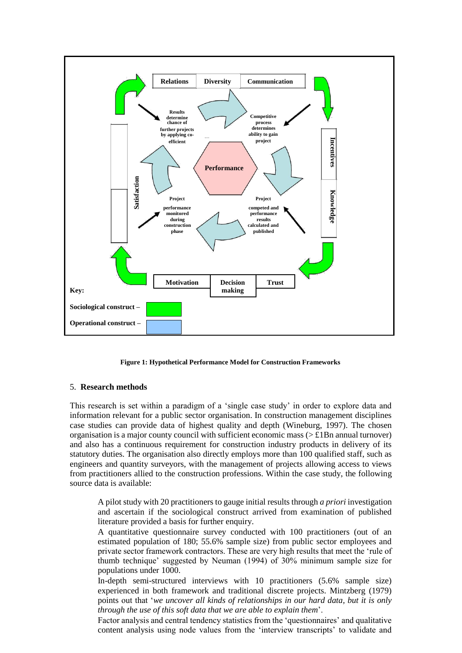

**Figure 1: Hypothetical Performance Model for Construction Frameworks**

#### 5. **Research methods**

This research is set within a paradigm of a 'single case study' in order to explore data and information relevant for a public sector organisation. In construction management disciplines case studies can provide data of highest quality and depth (Wineburg, 1997). The chosen organisation is a major county council with sufficient economic mass ( $> \pounds 1Bn$  annual turnover) and also has a continuous requirement for construction industry products in delivery of its statutory duties. The organisation also directly employs more than 100 qualified staff, such as engineers and quantity surveyors, with the management of projects allowing access to views from practitioners allied to the construction professions. Within the case study, the following source data is available:

A pilot study with 20 practitioners to gauge initial results through *a priori* investigation and ascertain if the sociological construct arrived from examination of published literature provided a basis for further enquiry.

A quantitative questionnaire survey conducted with 100 practitioners (out of an estimated population of 180; 55.6% sample size) from public sector employees and private sector framework contractors. These are very high results that meet the 'rule of thumb technique' suggested by Neuman (1994) of 30% minimum sample size for populations under 1000.

In-depth semi-structured interviews with 10 practitioners (5.6% sample size) experienced in both framework and traditional discrete projects. Mintzberg (1979) points out that '*we uncover all kinds of relationships in our hard data, but it is only through the use of this soft data that we are able to explain them*'.

Factor analysis and central tendency statistics from the 'questionnaires' and qualitative content analysis using node values from the 'interview transcripts' to validate and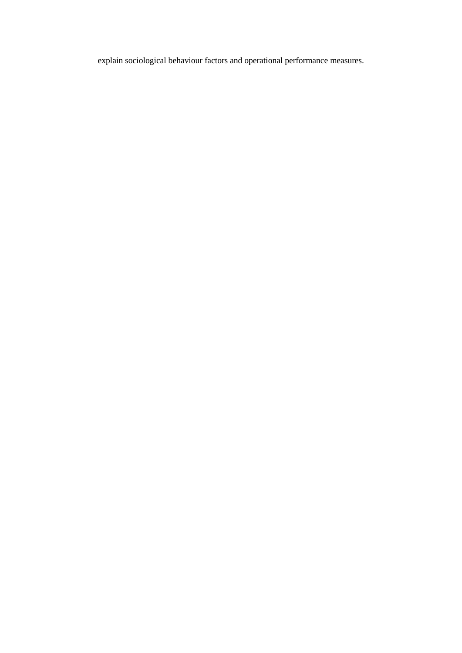explain sociological behaviour factors and operational performance measures.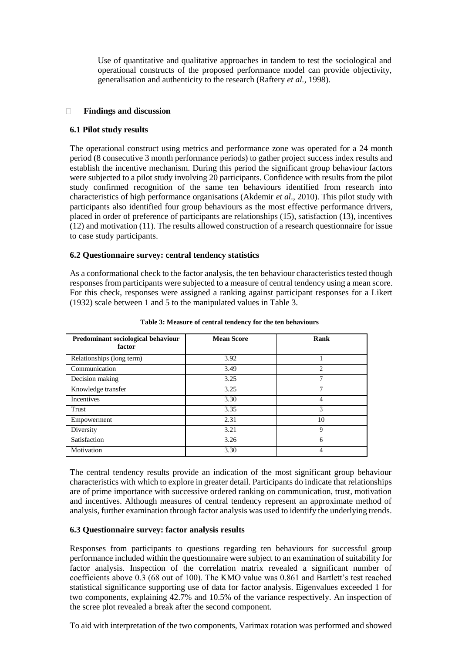Use of quantitative and qualitative approaches in tandem to test the sociological and operational constructs of the proposed performance model can provide objectivity, generalisation and authenticity to the research (Raftery *et al.,* 1998).

#### **Findings and discussion**  $\Box$

### **6.1 Pilot study results**

The operational construct using metrics and performance zone was operated for a 24 month period (8 consecutive 3 month performance periods) to gather project success index results and establish the incentive mechanism. During this period the significant group behaviour factors were subjected to a pilot study involving 20 participants. Confidence with results from the pilot study confirmed recognition of the same ten behaviours identified from research into characteristics of high performance organisations (Akdemir *et al*., 2010). This pilot study with participants also identified four group behaviours as the most effective performance drivers, placed in order of preference of participants are relationships (15), satisfaction (13), incentives (12) and motivation (11). The results allowed construction of a research questionnaire for issue to case study participants.

## **6.2 Questionnaire survey: central tendency statistics**

As a conformational check to the factor analysis, the ten behaviour characteristics tested though responses from participants were subjected to a measure of central tendency using a mean score. For this check, responses were assigned a ranking against participant responses for a Likert (1932) scale between 1 and 5 to the manipulated values in Table 3.

| Predominant sociological behaviour<br>factor | <b>Mean Score</b> | Rank |
|----------------------------------------------|-------------------|------|
| Relationships (long term)                    | 3.92              |      |
| Communication                                | 3.49              | 2    |
| Decision making                              | 3.25              |      |
| Knowledge transfer                           | 3.25              | 7    |
| Incentives                                   | 3.30              |      |
| Trust                                        | 3.35              | 3    |
| Empowerment                                  | 2.31              | 10   |
| Diversity                                    | 3.21              | 9    |
| Satisfaction                                 | 3.26              |      |
| Motivation                                   | 3.30              |      |

**Table 3: Measure of central tendency for the ten behaviours**

The central tendency results provide an indication of the most significant group behaviour characteristics with which to explore in greater detail. Participants do indicate that relationships are of prime importance with successive ordered ranking on communication, trust, motivation and incentives. Although measures of central tendency represent an approximate method of analysis, further examination through factor analysis was used to identify the underlying trends.

### **6.3 Questionnaire survey: factor analysis results**

Responses from participants to questions regarding ten behaviours for successful group performance included within the questionnaire were subject to an examination of suitability for factor analysis. Inspection of the correlation matrix revealed a significant number of coefficients above 0.3 (68 out of 100). The KMO value was 0.861 and Bartlett's test reached statistical significance supporting use of data for factor analysis. Eigenvalues exceeded 1 for two components, explaining 42.7% and 10.5% of the variance respectively. An inspection of the scree plot revealed a break after the second component.

To aid with interpretation of the two components, Varimax rotation was performed and showed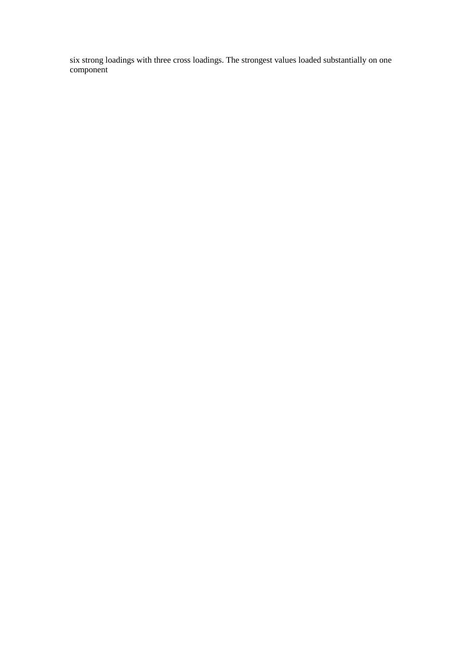six strong loadings with three cross loadings. The strongest values loaded substantially on one component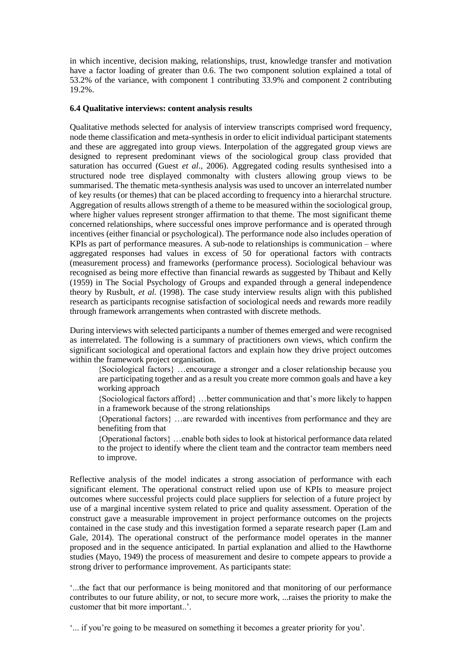in which incentive, decision making, relationships, trust, knowledge transfer and motivation have a factor loading of greater than 0.6. The two component solution explained a total of 53.2% of the variance, with component 1 contributing 33.9% and component 2 contributing 19.2%.

#### **6.4 Qualitative interviews: content analysis results**

Qualitative methods selected for analysis of interview transcripts comprised word frequency, node theme classification and meta-synthesis in order to elicit individual participant statements and these are aggregated into group views. Interpolation of the aggregated group views are designed to represent predominant views of the sociological group class provided that saturation has occurred (Guest *et al*., 2006). Aggregated coding results synthesised into a structured node tree displayed commonalty with clusters allowing group views to be summarised. The thematic meta-synthesis analysis was used to uncover an interrelated number of key results (or themes) that can be placed according to frequency into a hierarchal structure. Aggregation of results allows strength of a theme to be measured within the sociological group, where higher values represent stronger affirmation to that theme. The most significant theme concerned relationships, where successful ones improve performance and is operated through incentives (either financial or psychological). The performance node also includes operation of KPIs as part of performance measures. A sub-node to relationships is communication – where aggregated responses had values in excess of 50 for operational factors with contracts (measurement process) and frameworks (performance process). Sociological behaviour was recognised as being more effective than financial rewards as suggested by Thibaut and Kelly (1959) in The Social Psychology of Groups and expanded through a general independence theory by Rusbult, *et al.* (1998). The case study interview results align with this published research as participants recognise satisfaction of sociological needs and rewards more readily through framework arrangements when contrasted with discrete methods.

During interviews with selected participants a number of themes emerged and were recognised as interrelated. The following is a summary of practitioners own views, which confirm the significant sociological and operational factors and explain how they drive project outcomes within the framework project organisation.

{Sociological factors} …encourage a stronger and a closer relationship because you are participating together and as a result you create more common goals and have a key working approach

- {Sociological factors afford} …better communication and that's more likely to happen in a framework because of the strong relationships
- {Operational factors} …are rewarded with incentives from performance and they are benefiting from that

{Operational factors} …enable both sides to look at historical performance data related to the project to identify where the client team and the contractor team members need to improve.

Reflective analysis of the model indicates a strong association of performance with each significant element. The operational construct relied upon use of KPIs to measure project outcomes where successful projects could place suppliers for selection of a future project by use of a marginal incentive system related to price and quality assessment. Operation of the construct gave a measurable improvement in project performance outcomes on the projects contained in the case study and this investigation formed a separate research paper (Lam and Gale, 2014). The operational construct of the performance model operates in the manner proposed and in the sequence anticipated. In partial explanation and allied to the Hawthorne studies (Mayo, 1949) the process of measurement and desire to compete appears to provide a strong driver to performance improvement. As participants state:

'...the fact that our performance is being monitored and that monitoring of our performance contributes to our future ability, or not, to secure more work, ...raises the priority to make the customer that bit more important..'.

'... if you're going to be measured on something it becomes a greater priority for you'.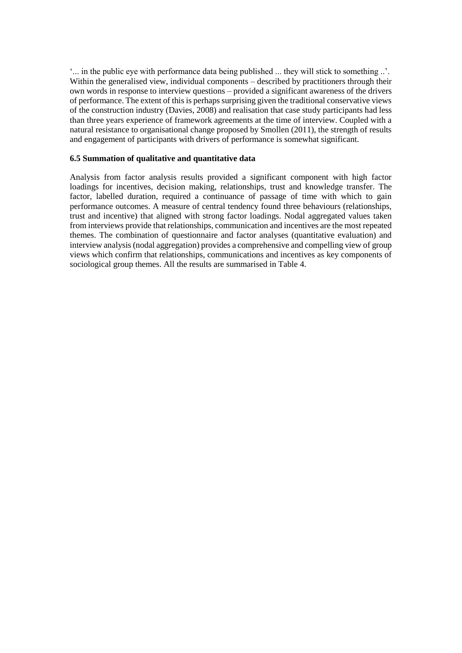'... in the public eye with performance data being published ... they will stick to something ..'. Within the generalised view, individual components – described by practitioners through their own words in response to interview questions – provided a significant awareness of the drivers of performance. The extent of this is perhaps surprising given the traditional conservative views of the construction industry (Davies, 2008) and realisation that case study participants had less than three years experience of framework agreements at the time of interview. Coupled with a natural resistance to organisational change proposed by Smollen (2011), the strength of results and engagement of participants with drivers of performance is somewhat significant.

#### **6.5 Summation of qualitative and quantitative data**

Analysis from factor analysis results provided a significant component with high factor loadings for incentives, decision making, relationships, trust and knowledge transfer. The factor, labelled duration, required a continuance of passage of time with which to gain performance outcomes. A measure of central tendency found three behaviours (relationships, trust and incentive) that aligned with strong factor loadings. Nodal aggregated values taken from interviews provide that relationships, communication and incentives are the most repeated themes. The combination of questionnaire and factor analyses (quantitative evaluation) and interview analysis (nodal aggregation) provides a comprehensive and compelling view of group views which confirm that relationships, communications and incentives as key components of sociological group themes. All the results are summarised in Table 4.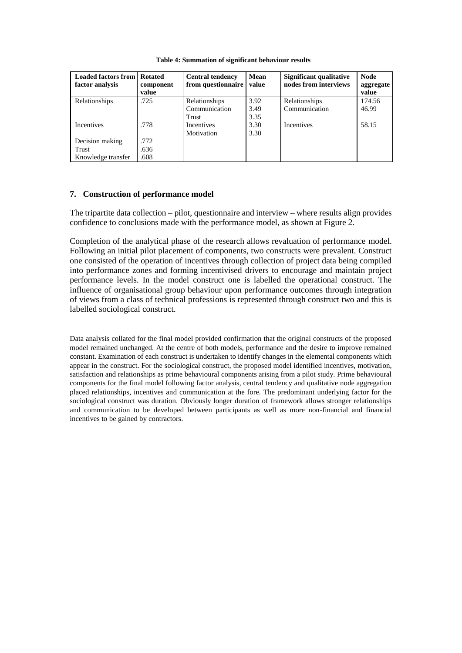| <b>Loaded factors from</b><br>factor analysis | <b>Rotated</b><br>component<br>value | <b>Central tendency</b><br>from questionnaire | Mean<br>value | <b>Significant qualitative</b><br>nodes from interviews | <b>Node</b><br>aggregate<br>value |
|-----------------------------------------------|--------------------------------------|-----------------------------------------------|---------------|---------------------------------------------------------|-----------------------------------|
| Relationships                                 | .725                                 | Relationships                                 | 3.92          | Relationships                                           | 174.56                            |
|                                               |                                      | Communication                                 | 3.49          | Communication                                           | 46.99                             |
|                                               |                                      | Trust                                         | 3.35          |                                                         |                                   |
| <b>Incentives</b>                             | .778                                 | Incentives                                    | 3.30          | <b>Incentives</b>                                       | 58.15                             |
|                                               |                                      | Motivation                                    | 3.30          |                                                         |                                   |
| Decision making                               | .772                                 |                                               |               |                                                         |                                   |
| Trust                                         | .636                                 |                                               |               |                                                         |                                   |
| Knowledge transfer                            | .608                                 |                                               |               |                                                         |                                   |

**Table 4: Summation of significant behaviour results**

### **7. Construction of performance model**

The tripartite data collection – pilot, questionnaire and interview – where results align provides confidence to conclusions made with the performance model, as shown at Figure 2.

Completion of the analytical phase of the research allows revaluation of performance model. Following an initial pilot placement of components, two constructs were prevalent. Construct one consisted of the operation of incentives through collection of project data being compiled into performance zones and forming incentivised drivers to encourage and maintain project performance levels. In the model construct one is labelled the operational construct. The influence of organisational group behaviour upon performance outcomes through integration of views from a class of technical professions is represented through construct two and this is labelled sociological construct.

Data analysis collated for the final model provided confirmation that the original constructs of the proposed model remained unchanged. At the centre of both models, performance and the desire to improve remained constant. Examination of each construct is undertaken to identify changes in the elemental components which appear in the construct. For the sociological construct, the proposed model identified incentives, motivation, satisfaction and relationships as prime behavioural components arising from a pilot study. Prime behavioural components for the final model following factor analysis, central tendency and qualitative node aggregation placed relationships, incentives and communication at the fore. The predominant underlying factor for the sociological construct was duration. Obviously longer duration of framework allows stronger relationships and communication to be developed between participants as well as more non-financial and financial incentives to be gained by contractors.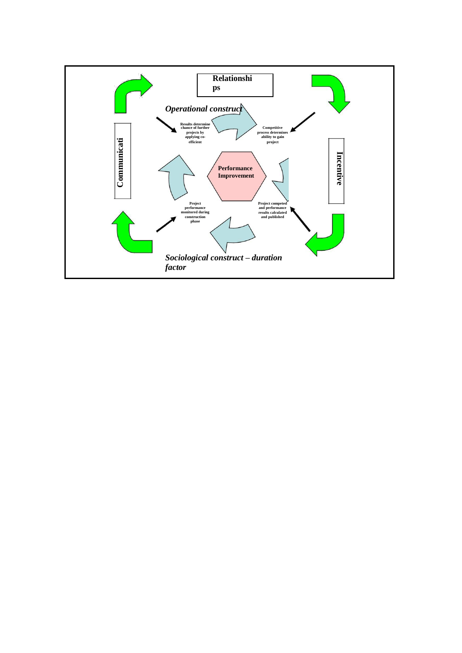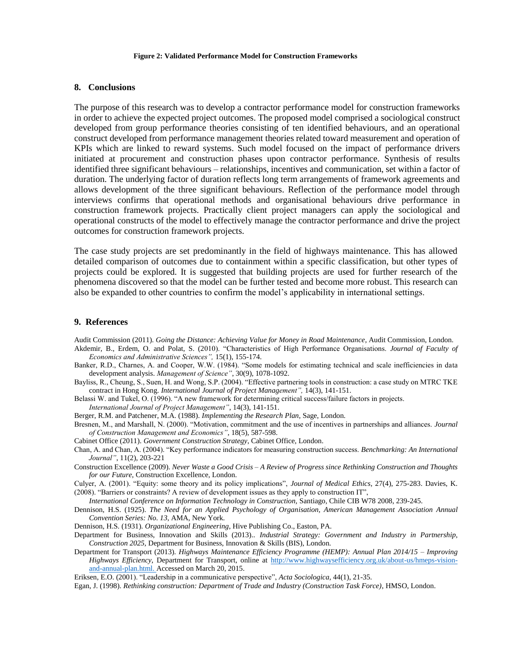#### **8. Conclusions**

The purpose of this research was to develop a contractor performance model for construction frameworks in order to achieve the expected project outcomes. The proposed model comprised a sociological construct developed from group performance theories consisting of ten identified behaviours, and an operational construct developed from performance management theories related toward measurement and operation of KPIs which are linked to reward systems. Such model focused on the impact of performance drivers initiated at procurement and construction phases upon contractor performance. Synthesis of results identified three significant behaviours – relationships, incentives and communication, set within a factor of duration. The underlying factor of duration reflects long term arrangements of framework agreements and allows development of the three significant behaviours. Reflection of the performance model through interviews confirms that operational methods and organisational behaviours drive performance in construction framework projects. Practically client project managers can apply the sociological and operational constructs of the model to effectively manage the contractor performance and drive the project outcomes for construction framework projects.

The case study projects are set predominantly in the field of highways maintenance. This has allowed detailed comparison of outcomes due to containment within a specific classification, but other types of projects could be explored. It is suggested that building projects are used for further research of the phenomena discovered so that the model can be further tested and become more robust. This research can also be expanded to other countries to confirm the model's applicability in international settings.

#### **9. References**

Audit Commission (2011). *Going the Distance: Achieving Value for Money in Road Maintenance*, Audit Commission, London.

- Akdemir, B., Erdem, O. and Polat, S. (2010). "Characteristics of High Performance Organisations. *Journal of Faculty of Economics and Administrative Sciences",* 15(1), 155-174.
- Banker, R.D., Charnes, A. and Cooper, W.W. (1984). "Some models for estimating technical and scale inefficiencies in data development analysis. *Management of Science"*, 30(9), 1078-1092.
- Bayliss, R., Cheung, S., Suen, H. and Wong, S.P. (2004). "Effective partnering tools in construction: a case study on MTRC TKE contract in Hong Kong. *International Journal of Project Management",* 14(3), 141-151.
- Belassi W. and Tukel, O. (1996). "A new framework for determining critical success/failure factors in projects.

*International Journal of Project Management"*, 14(3), 141-151.

- Berger, R.M. and Patchener, M.A. (1988). *Implementing the Research Plan*, Sage, London.
- Bresnen, M., and Marshall, N. (2000). "Motivation, commitment and the use of incentives in partnerships and alliances. *Journal of Construction Management and Economics"*, 18(5), 587-598.
- Cabinet Office (2011). *Government Construction Strategy*, Cabinet Office, London.
- Chan, A. and Chan, A. (2004). "Key performance indicators for measuring construction success. *Benchmarking: An International Journal"*, 11(2), 203-221
- Construction Excellence (2009). *Never Waste a Good Crisis – A Review of Progress since Rethinking Construction and Thoughts for our Future*, Construction Excellence, London.
- Culyer, A. (2001). "Equity: some theory and its policy implications", *Journal of Medical Ethics*, 27(4), 275-283. Davies, K. (2008). "Barriers or constraints? A review of development issues as they apply to construction IT",

*International Conference on Information Technology in Construction,* Santiago*,* Chile CIB W78 2008, 239-245.

- Dennison, H.S. (1925). *The Need for an Applied Psychology of Organisation, American Management Association Annual Convention Series: No. 13*, AMA, New York.
- Dennison, H.S. (1931). *Organizational Engineering*, Hive Publishing Co., Easton, PA.
- Department for Business, Innovation and Skills (2013).. *Industrial Strategy: Government and Industry in Partnership, Construction 2025,* Department for Business, Innovation & Skills (BIS), London.
- Department for Transport (2013). *Highways Maintenance Efficiency Programme (HEMP): Annual Plan 2014/15 – Improving Highways Efficiency*, Department for Transport, online at [http://www.highwaysefficiency.org.uk/about-us/hmeps-vision](http://www.highwaysefficiency.org.uk/about-us/hmeps-vision-and-annual-plan.html)[and-annual-plan.html. A](http://www.highwaysefficiency.org.uk/about-us/hmeps-vision-and-annual-plan.html)ccessed on March 20, 2015.

Eriksen, E.O. (2001). "Leadership in a communicative perspective", *Acta Sociologica*, 44(1), 21-35.

Egan, J. (1998). *Rethinking construction: Department of Trade and Industry (Construction Task Force)*, HMSO, London.